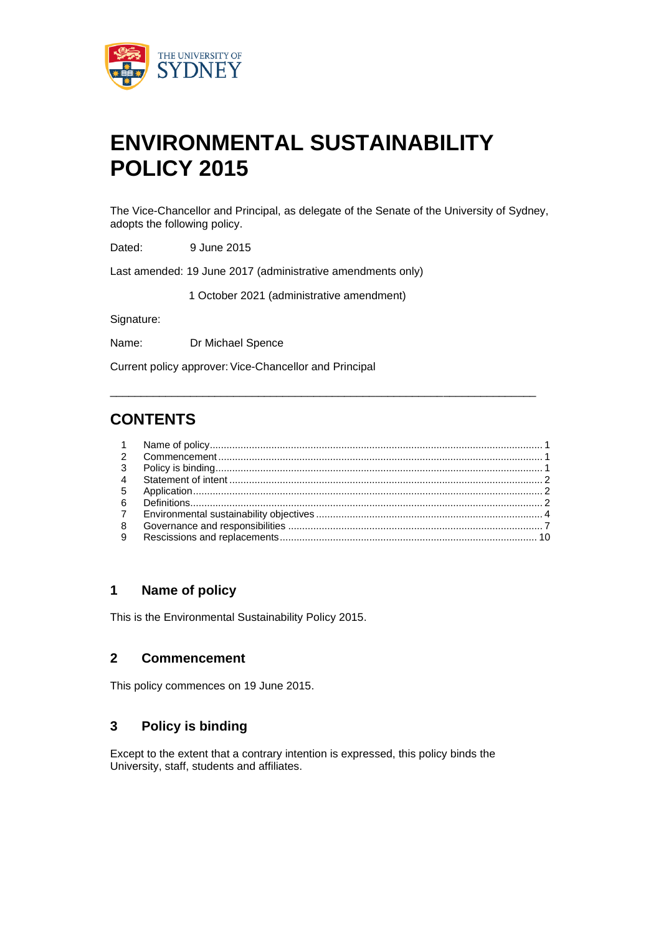

# **ENVIRONMENTAL SUSTAINABILITY POLICY 2015**

The Vice-Chancellor and Principal, as delegate of the Senate of the University of Sydney, adopts the following policy.

Dated: 9 June 2015

Last amended: 19 June 2017 (administrative amendments only)

1 October 2021 (administrative amendment)

Signature:

Name: Dr Michael Spence

Current policy approver: Vice-Chancellor and Principal

## **CONTENTS**

| 9 |  |
|---|--|

\_\_\_\_\_\_\_\_\_\_\_\_\_\_\_\_\_\_\_\_\_\_\_\_\_\_\_\_\_\_\_\_\_\_\_\_\_\_\_\_\_\_\_\_\_\_\_\_\_\_\_\_\_\_\_\_\_\_\_\_\_\_\_\_\_\_\_\_\_

## **1 Name of policy**

This is the Environmental Sustainability Policy 2015.

### **2 Commencement**

This policy commences on 19 June 2015.

### **3 Policy is binding**

Except to the extent that a contrary intention is expressed, this policy binds the University, staff, students and affiliates.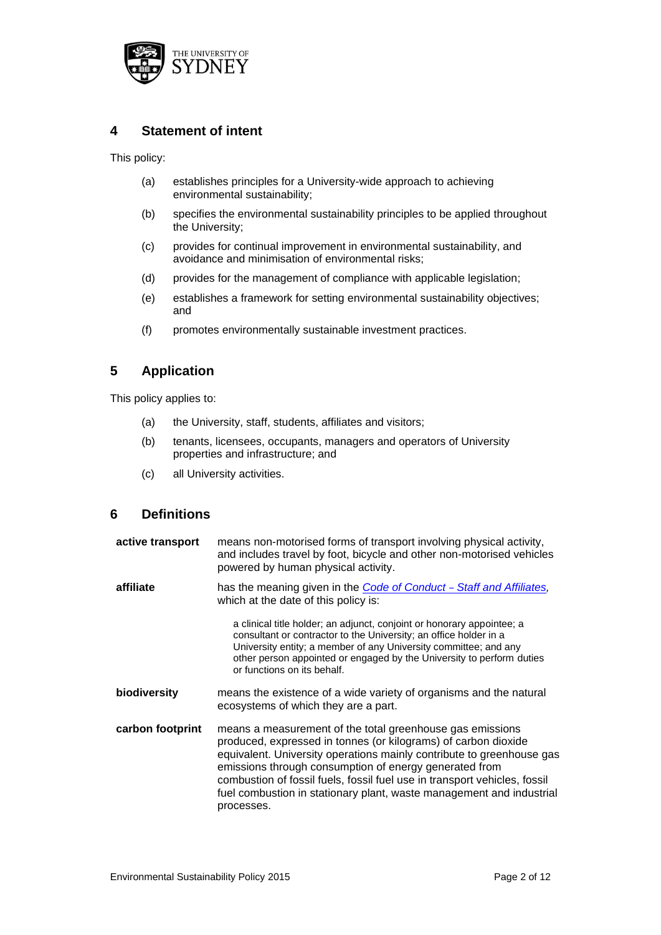

## **4 Statement of intent**

This policy:

- (a) establishes principles for a University-wide approach to achieving environmental sustainability;
- (b) specifies the environmental sustainability principles to be applied throughout the University;
- (c) provides for continual improvement in environmental sustainability, and avoidance and minimisation of environmental risks;
- (d) provides for the management of compliance with applicable legislation;
- (e) establishes a framework for setting environmental sustainability objectives; and
- (f) promotes environmentally sustainable investment practices.

## **5 Application**

This policy applies to:

- (a) the University, staff, students, affiliates and visitors;
- (b) tenants, licensees, occupants, managers and operators of University properties and infrastructure; and
- (c) all University activities.

## **6 Definitions**

| active transport | means non-motorised forms of transport involving physical activity,<br>and includes travel by foot, bicycle and other non-motorised vehicles<br>powered by human physical activity.                                                                                                                                                                                                                                               |
|------------------|-----------------------------------------------------------------------------------------------------------------------------------------------------------------------------------------------------------------------------------------------------------------------------------------------------------------------------------------------------------------------------------------------------------------------------------|
| affiliate        | has the meaning given in the <b>Code of Conduct</b> - Staff and Affiliates,<br>which at the date of this policy is:                                                                                                                                                                                                                                                                                                               |
|                  | a clinical title holder; an adjunct, conjoint or honorary appointee; a<br>consultant or contractor to the University; an office holder in a<br>University entity; a member of any University committee; and any<br>other person appointed or engaged by the University to perform duties<br>or functions on its behalf.                                                                                                           |
| biodiversity     | means the existence of a wide variety of organisms and the natural<br>ecosystems of which they are a part.                                                                                                                                                                                                                                                                                                                        |
| carbon footprint | means a measurement of the total greenhouse gas emissions<br>produced, expressed in tonnes (or kilograms) of carbon dioxide<br>equivalent. University operations mainly contribute to greenhouse gas<br>emissions through consumption of energy generated from<br>combustion of fossil fuels, fossil fuel use in transport vehicles, fossil<br>fuel combustion in stationary plant, waste management and industrial<br>processes. |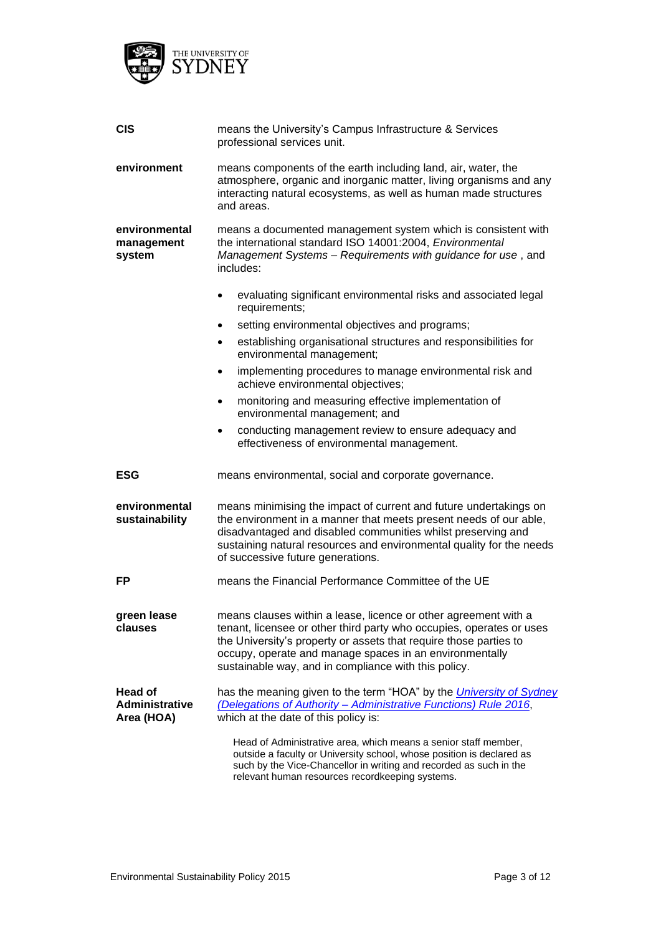

| <b>CIS</b>                              | means the University's Campus Infrastructure & Services<br>professional services unit.                                                                                                                                                                                                                                          |  |  |
|-----------------------------------------|---------------------------------------------------------------------------------------------------------------------------------------------------------------------------------------------------------------------------------------------------------------------------------------------------------------------------------|--|--|
| environment                             | means components of the earth including land, air, water, the<br>atmosphere, organic and inorganic matter, living organisms and any<br>interacting natural ecosystems, as well as human made structures<br>and areas.                                                                                                           |  |  |
| environmental<br>management<br>system   | means a documented management system which is consistent with<br>the international standard ISO 14001:2004, Environmental<br>Management Systems - Requirements with guidance for use, and<br>includes:                                                                                                                          |  |  |
|                                         | evaluating significant environmental risks and associated legal<br>requirements;                                                                                                                                                                                                                                                |  |  |
|                                         | setting environmental objectives and programs;<br>٠                                                                                                                                                                                                                                                                             |  |  |
|                                         | establishing organisational structures and responsibilities for<br>٠<br>environmental management;                                                                                                                                                                                                                               |  |  |
|                                         | implementing procedures to manage environmental risk and<br>٠<br>achieve environmental objectives;                                                                                                                                                                                                                              |  |  |
|                                         | monitoring and measuring effective implementation of<br>٠<br>environmental management; and                                                                                                                                                                                                                                      |  |  |
|                                         | conducting management review to ensure adequacy and<br>٠<br>effectiveness of environmental management.                                                                                                                                                                                                                          |  |  |
| ESG                                     | means environmental, social and corporate governance.                                                                                                                                                                                                                                                                           |  |  |
| environmental<br>sustainability         | means minimising the impact of current and future undertakings on<br>the environment in a manner that meets present needs of our able,<br>disadvantaged and disabled communities whilst preserving and<br>sustaining natural resources and environmental quality for the needs<br>of successive future generations.             |  |  |
| <b>FP</b>                               | means the Financial Performance Committee of the UE                                                                                                                                                                                                                                                                             |  |  |
| green lease<br>clauses                  | means clauses within a lease, licence or other agreement with a<br>tenant, licensee or other third party who occupies, operates or uses<br>the University's property or assets that require those parties to<br>occupy, operate and manage spaces in an environmentally<br>sustainable way, and in compliance with this policy. |  |  |
| Head of<br>Administrative<br>Area (HOA) | has the meaning given to the term "HOA" by the <i>University of Sydney</i><br>(Delegations of Authority - Administrative Functions) Rule 2016,<br>which at the date of this policy is:                                                                                                                                          |  |  |
|                                         | Head of Administrative area, which means a senior staff member,<br>outside a faculty or University school, whose position is declared as<br>such by the Vice-Chancellor in writing and recorded as such in the<br>relevant human resources recordkeeping systems.                                                               |  |  |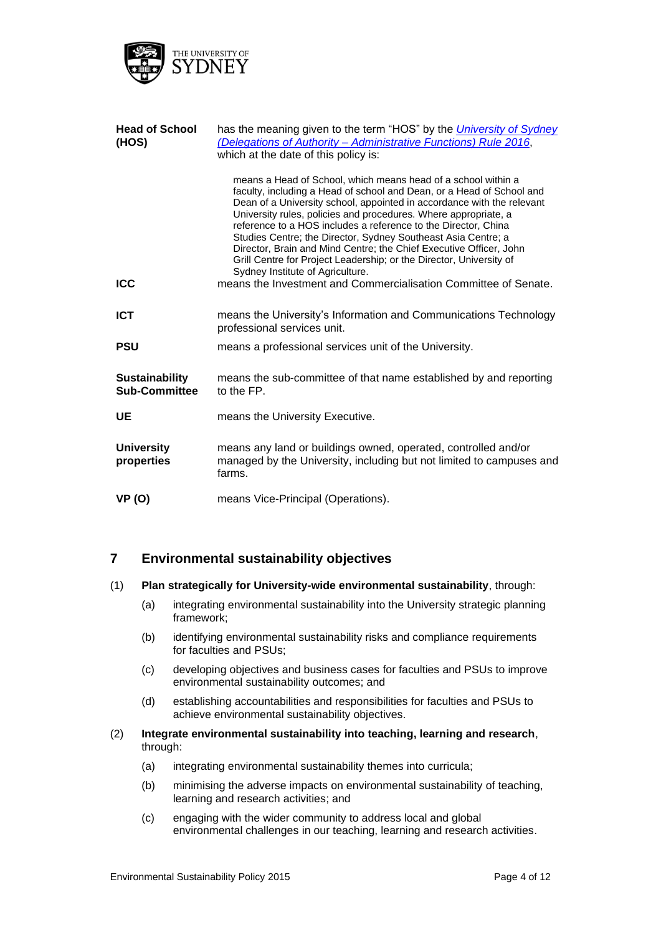

| <b>Head of School</b><br>(HOS)                | has the meaning given to the term "HOS" by the <i>University of Sydney</i><br>(Delegations of Authority - Administrative Functions) Rule 2016,<br>which at the date of this policy is:<br>means a Head of School, which means head of a school within a<br>faculty, including a Head of school and Dean, or a Head of School and<br>Dean of a University school, appointed in accordance with the relevant<br>University rules, policies and procedures. Where appropriate, a<br>reference to a HOS includes a reference to the Director, China<br>Studies Centre; the Director, Sydney Southeast Asia Centre; a<br>Director, Brain and Mind Centre; the Chief Executive Officer, John<br>Grill Centre for Project Leadership; or the Director, University of<br>Sydney Institute of Agriculture. |  |
|-----------------------------------------------|---------------------------------------------------------------------------------------------------------------------------------------------------------------------------------------------------------------------------------------------------------------------------------------------------------------------------------------------------------------------------------------------------------------------------------------------------------------------------------------------------------------------------------------------------------------------------------------------------------------------------------------------------------------------------------------------------------------------------------------------------------------------------------------------------|--|
| <b>ICC</b>                                    | means the Investment and Commercialisation Committee of Senate.                                                                                                                                                                                                                                                                                                                                                                                                                                                                                                                                                                                                                                                                                                                                   |  |
| <b>ICT</b>                                    | means the University's Information and Communications Technology<br>professional services unit.                                                                                                                                                                                                                                                                                                                                                                                                                                                                                                                                                                                                                                                                                                   |  |
| PSU                                           | means a professional services unit of the University.                                                                                                                                                                                                                                                                                                                                                                                                                                                                                                                                                                                                                                                                                                                                             |  |
| <b>Sustainability</b><br><b>Sub-Committee</b> | means the sub-committee of that name established by and reporting<br>to the FP.                                                                                                                                                                                                                                                                                                                                                                                                                                                                                                                                                                                                                                                                                                                   |  |
| UE                                            | means the University Executive.                                                                                                                                                                                                                                                                                                                                                                                                                                                                                                                                                                                                                                                                                                                                                                   |  |
| <b>University</b><br>properties               | means any land or buildings owned, operated, controlled and/or<br>managed by the University, including but not limited to campuses and<br>farms.                                                                                                                                                                                                                                                                                                                                                                                                                                                                                                                                                                                                                                                  |  |
| <b>VP (O)</b>                                 | means Vice-Principal (Operations).                                                                                                                                                                                                                                                                                                                                                                                                                                                                                                                                                                                                                                                                                                                                                                |  |

## **7 Environmental sustainability objectives**

#### (1) **Plan strategically for University-wide environmental sustainability**, through:

- (a) integrating environmental sustainability into the University strategic planning framework;
- (b) identifying environmental sustainability risks and compliance requirements for faculties and PSUs;
- (c) developing objectives and business cases for faculties and PSUs to improve environmental sustainability outcomes; and
- (d) establishing accountabilities and responsibilities for faculties and PSUs to achieve environmental sustainability objectives.

#### (2) **Integrate environmental sustainability into teaching, learning and research**, through:

- (a) integrating environmental sustainability themes into curricula;
- (b) minimising the adverse impacts on environmental sustainability of teaching, learning and research activities; and
- (c) engaging with the wider community to address local and global environmental challenges in our teaching, learning and research activities.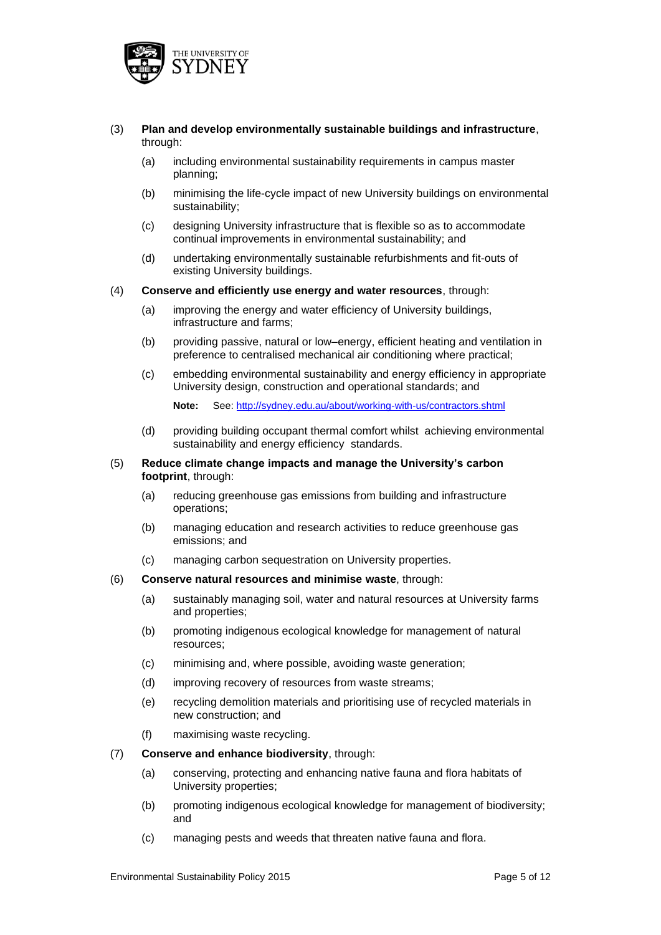

- (3) **Plan and develop environmentally sustainable buildings and infrastructure**, through:
	- (a) including environmental sustainability requirements in campus master planning;
	- (b) minimising the life-cycle impact of new University buildings on environmental sustainability;
	- (c) designing University infrastructure that is flexible so as to accommodate continual improvements in environmental sustainability; and
	- (d) undertaking environmentally sustainable refurbishments and fit-outs of existing University buildings.
- (4) **Conserve and efficiently use energy and water resources**, through:
	- (a) improving the energy and water efficiency of University buildings, infrastructure and farms;
	- (b) providing passive, natural or low–energy, efficient heating and ventilation in preference to centralised mechanical air conditioning where practical;
	- (c) embedding environmental sustainability and energy efficiency in appropriate University design, construction and operational standards; and

**Note:** See:<http://sydney.edu.au/about/working-with-us/contractors.shtml>

(d) providing building occupant thermal comfort whilst achieving environmental sustainability and energy efficiency standards.

#### (5) **Reduce climate change impacts and manage the University's carbon footprint**, through:

- (a) reducing greenhouse gas emissions from building and infrastructure operations;
- (b) managing education and research activities to reduce greenhouse gas emissions; and
- (c) managing carbon sequestration on University properties.

#### (6) **Conserve natural resources and minimise waste**, through:

- (a) sustainably managing soil, water and natural resources at University farms and properties;
- (b) promoting indigenous ecological knowledge for management of natural resources;
- (c) minimising and, where possible, avoiding waste generation;
- (d) improving recovery of resources from waste streams;
- (e) recycling demolition materials and prioritising use of recycled materials in new construction; and
- (f) maximising waste recycling.
- (7) **Conserve and enhance biodiversity**, through:
	- (a) conserving, protecting and enhancing native fauna and flora habitats of University properties;
	- (b) promoting indigenous ecological knowledge for management of biodiversity; and
	- (c) managing pests and weeds that threaten native fauna and flora.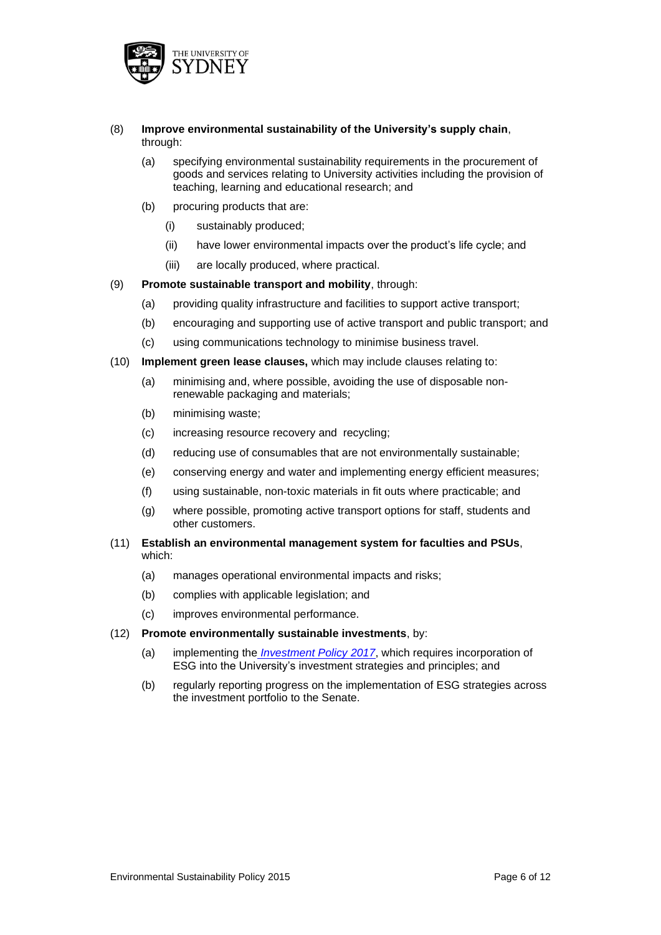

- (8) **Improve environmental sustainability of the University's supply chain**, through:
	- (a) specifying environmental sustainability requirements in the procurement of goods and services relating to University activities including the provision of teaching, learning and educational research; and
	- (b) procuring products that are:
		- (i) sustainably produced;
		- (ii) have lower environmental impacts over the product's life cycle; and
		- (iii) are locally produced, where practical.
- (9) **Promote sustainable transport and mobility**, through:
	- (a) providing quality infrastructure and facilities to support active transport;
	- (b) encouraging and supporting use of active transport and public transport; and
	- (c) using communications technology to minimise business travel.
- (10) **Implement green lease clauses,** which may include clauses relating to:
	- (a) minimising and, where possible, avoiding the use of disposable nonrenewable packaging and materials;
	- (b) minimising waste;
	- (c) increasing resource recovery and recycling;
	- (d) reducing use of consumables that are not environmentally sustainable;
	- (e) conserving energy and water and implementing energy efficient measures;
	- (f) using sustainable, non-toxic materials in fit outs where practicable; and
	- (g) where possible, promoting active transport options for staff, students and other customers.
- (11) **Establish an environmental management system for faculties and PSUs**, which:
	- (a) manages operational environmental impacts and risks;
	- (b) complies with applicable legislation; and
	- (c) improves environmental performance.

#### (12) **Promote environmentally sustainable investments**, by:

- (a) implementing the *[Investment Policy](http://sydney.edu.au/policies/showdoc.aspx?recnum=PDOC2012/258&RendNum=0) 2017*, which requires incorporation of ESG into the University's investment strategies and principles; and
- (b) regularly reporting progress on the implementation of ESG strategies across the investment portfolio to the Senate.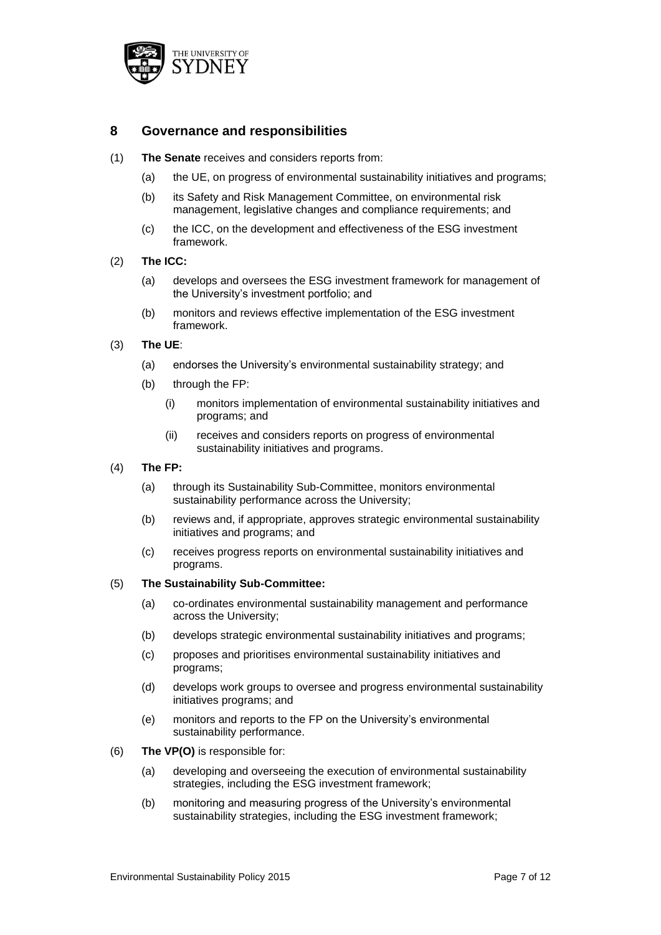

### **8 Governance and responsibilities**

- (1) **The Senate** receives and considers reports from:
	- (a) the UE, on progress of environmental sustainability initiatives and programs;
	- (b) its Safety and Risk Management Committee, on environmental risk management, legislative changes and compliance requirements; and
	- (c) the ICC, on the development and effectiveness of the ESG investment framework.
- (2) **The ICC:**
	- (a) develops and oversees the ESG investment framework for management of the University's investment portfolio; and
	- (b) monitors and reviews effective implementation of the ESG investment framework.
- (3) **The UE**:
	- (a) endorses the University's environmental sustainability strategy; and
	- (b) through the FP:
		- (i) monitors implementation of environmental sustainability initiatives and programs; and
		- (ii) receives and considers reports on progress of environmental sustainability initiatives and programs.
- (4) **The FP:**
	- (a) through its Sustainability Sub-Committee, monitors environmental sustainability performance across the University;
	- (b) reviews and, if appropriate, approves strategic environmental sustainability initiatives and programs; and
	- (c) receives progress reports on environmental sustainability initiatives and programs.

#### (5) **The Sustainability Sub-Committee:**

- (a) co-ordinates environmental sustainability management and performance across the University;
- (b) develops strategic environmental sustainability initiatives and programs;
- (c) proposes and prioritises environmental sustainability initiatives and programs;
- (d) develops work groups to oversee and progress environmental sustainability initiatives programs; and
- (e) monitors and reports to the FP on the University's environmental sustainability performance.
- (6) **The VP(O)** is responsible for:
	- (a) developing and overseeing the execution of environmental sustainability strategies, including the ESG investment framework;
	- (b) monitoring and measuring progress of the University's environmental sustainability strategies, including the ESG investment framework;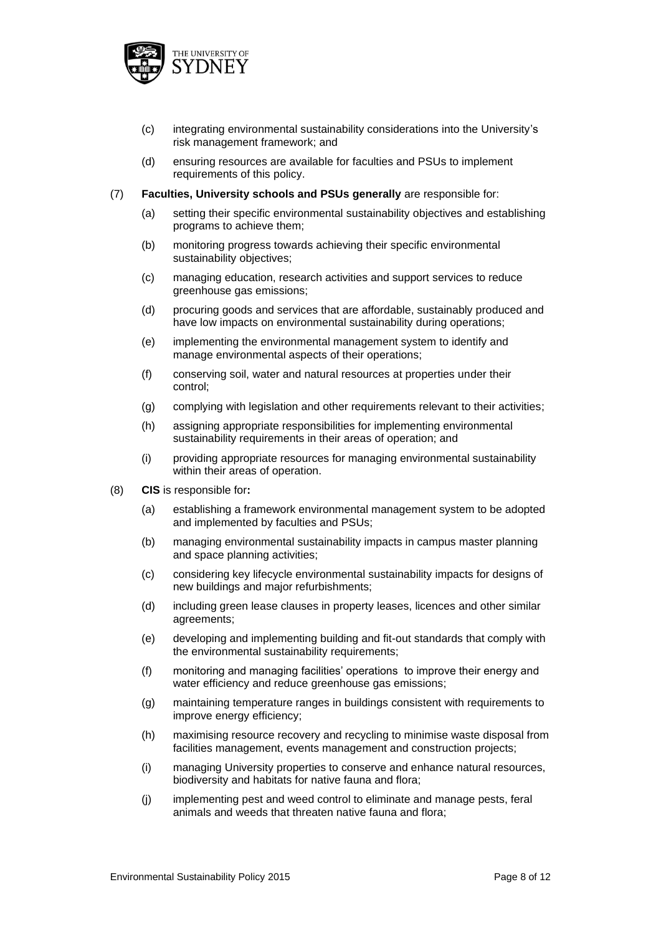

- (c) integrating environmental sustainability considerations into the University's risk management framework; and
- (d) ensuring resources are available for faculties and PSUs to implement requirements of this policy.

#### (7) **Faculties, University schools and PSUs generally** are responsible for:

- (a) setting their specific environmental sustainability objectives and establishing programs to achieve them;
- (b) monitoring progress towards achieving their specific environmental sustainability objectives;
- (c) managing education, research activities and support services to reduce greenhouse gas emissions;
- (d) procuring goods and services that are affordable, sustainably produced and have low impacts on environmental sustainability during operations;
- (e) implementing the environmental management system to identify and manage environmental aspects of their operations;
- (f) conserving soil, water and natural resources at properties under their control;
- (g) complying with legislation and other requirements relevant to their activities;
- (h) assigning appropriate responsibilities for implementing environmental sustainability requirements in their areas of operation; and
- (i) providing appropriate resources for managing environmental sustainability within their areas of operation.
- (8) **CIS** is responsible for**:**
	- (a) establishing a framework environmental management system to be adopted and implemented by faculties and PSUs;
	- (b) managing environmental sustainability impacts in campus master planning and space planning activities;
	- (c) considering key lifecycle environmental sustainability impacts for designs of new buildings and major refurbishments;
	- (d) including green lease clauses in property leases, licences and other similar agreements;
	- (e) developing and implementing building and fit-out standards that comply with the environmental sustainability requirements;
	- (f) monitoring and managing facilities' operations to improve their energy and water efficiency and reduce greenhouse gas emissions;
	- (g) maintaining temperature ranges in buildings consistent with requirements to improve energy efficiency;
	- (h) maximising resource recovery and recycling to minimise waste disposal from facilities management, events management and construction projects;
	- (i) managing University properties to conserve and enhance natural resources, biodiversity and habitats for native fauna and flora;
	- (j) implementing pest and weed control to eliminate and manage pests, feral animals and weeds that threaten native fauna and flora;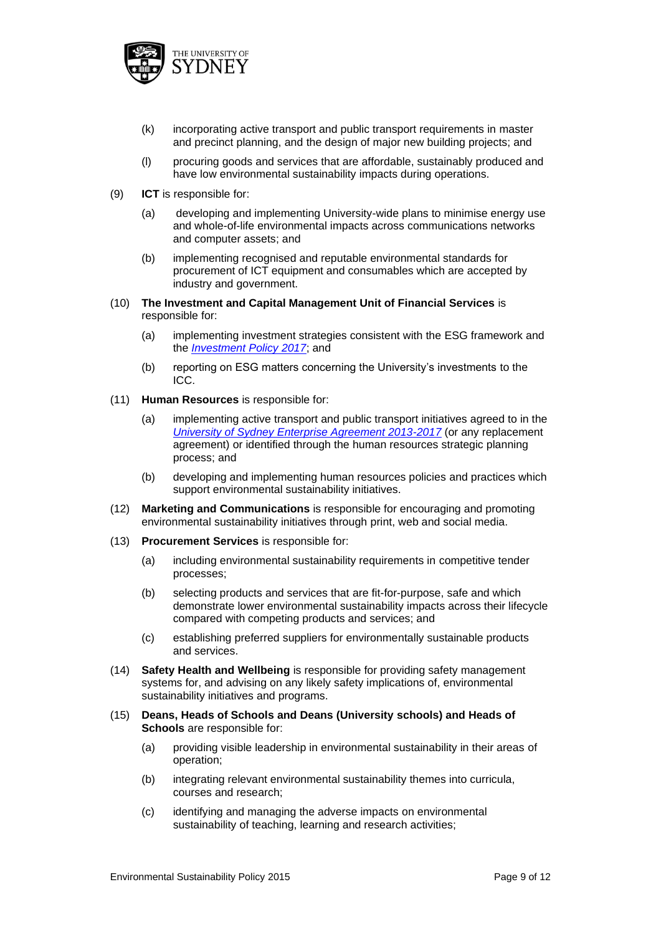

- (k) incorporating active transport and public transport requirements in master and precinct planning, and the design of major new building projects; and
- (l) procuring goods and services that are affordable, sustainably produced and have low environmental sustainability impacts during operations.
- (9) **ICT** is responsible for:
	- (a) developing and implementing University-wide plans to minimise energy use and whole-of-life environmental impacts across communications networks and computer assets; and
	- (b) implementing recognised and reputable environmental standards for procurement of ICT equipment and consumables which are accepted by industry and government.
- (10) **The Investment and Capital Management Unit of Financial Services** is responsible for:
	- (a) implementing investment strategies consistent with the ESG framework and the *[Investment Policy](http://sydney.edu.au/policies/showdoc.aspx?recnum=PDOC2012/258&RendNum=0) 2017*; and
	- (b) reporting on ESG matters concerning the University's investments to the ICC.
- (11) **Human Resources** is responsible for:
	- (a) implementing active transport and public transport initiatives agreed to in the *[University of Sydney Enterprise Agreement 2013-2017](https://intranet.sydney.edu.au/employment/enterprise-agreement.html)* (or any replacement agreement) or identified through the human resources strategic planning process; and
	- (b) developing and implementing human resources policies and practices which support environmental sustainability initiatives.
- (12) **Marketing and Communications** is responsible for encouraging and promoting environmental sustainability initiatives through print, web and social media.
- (13) **Procurement Services** is responsible for:
	- (a) including environmental sustainability requirements in competitive tender processes;
	- (b) selecting products and services that are fit-for-purpose, safe and which demonstrate lower environmental sustainability impacts across their lifecycle compared with competing products and services; and
	- (c) establishing preferred suppliers for environmentally sustainable products and services.
- (14) **Safety Health and Wellbeing** is responsible for providing safety management systems for, and advising on any likely safety implications of, environmental sustainability initiatives and programs.
- (15) **Deans, Heads of Schools and Deans (University schools) and Heads of Schools** are responsible for:
	- (a) providing visible leadership in environmental sustainability in their areas of operation;
	- (b) integrating relevant environmental sustainability themes into curricula, courses and research;
	- (c) identifying and managing the adverse impacts on environmental sustainability of teaching, learning and research activities;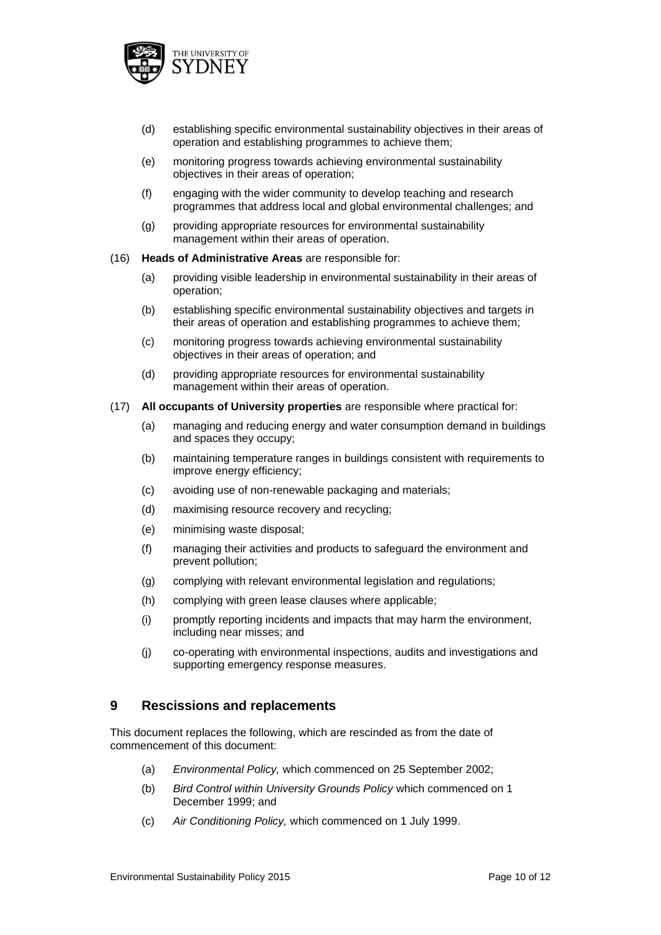

- (d) establishing specific environmental sustainability objectives in their areas of operation and establishing programmes to achieve them;
- (e) monitoring progress towards achieving environmental sustainability objectives in their areas of operation;
- (f) engaging with the wider community to develop teaching and research programmes that address local and global environmental challenges; and
- (g) providing appropriate resources for environmental sustainability management within their areas of operation.

#### (16) **Heads of Administrative Areas** are responsible for:

- (a) providing visible leadership in environmental sustainability in their areas of operation;
- (b) establishing specific environmental sustainability objectives and targets in their areas of operation and establishing programmes to achieve them;
- (c) monitoring progress towards achieving environmental sustainability objectives in their areas of operation; and
- (d) providing appropriate resources for environmental sustainability management within their areas of operation.

#### (17) **All occupants of University properties** are responsible where practical for:

- (a) managing and reducing energy and water consumption demand in buildings and spaces they occupy;
- (b) maintaining temperature ranges in buildings consistent with requirements to improve energy efficiency;
- (c) avoiding use of non-renewable packaging and materials;
- (d) maximising resource recovery and recycling;
- (e) minimising waste disposal;
- (f) managing their activities and products to safeguard the environment and prevent pollution;
- (g) complying with relevant environmental legislation and regulations;
- (h) complying with green lease clauses where applicable;
- (i) promptly reporting incidents and impacts that may harm the environment, including near misses; and
- (j) co-operating with environmental inspections, audits and investigations and supporting emergency response measures.

#### **9 Rescissions and replacements**

This document replaces the following, which are rescinded as from the date of commencement of this document:

- (a) *Environmental Policy,* which commenced on 25 September 2002;
- (b) *Bird Control within University Grounds Policy* which commenced on 1 December 1999; and
- (c) *Air Conditioning Policy,* which commenced on 1 July 1999.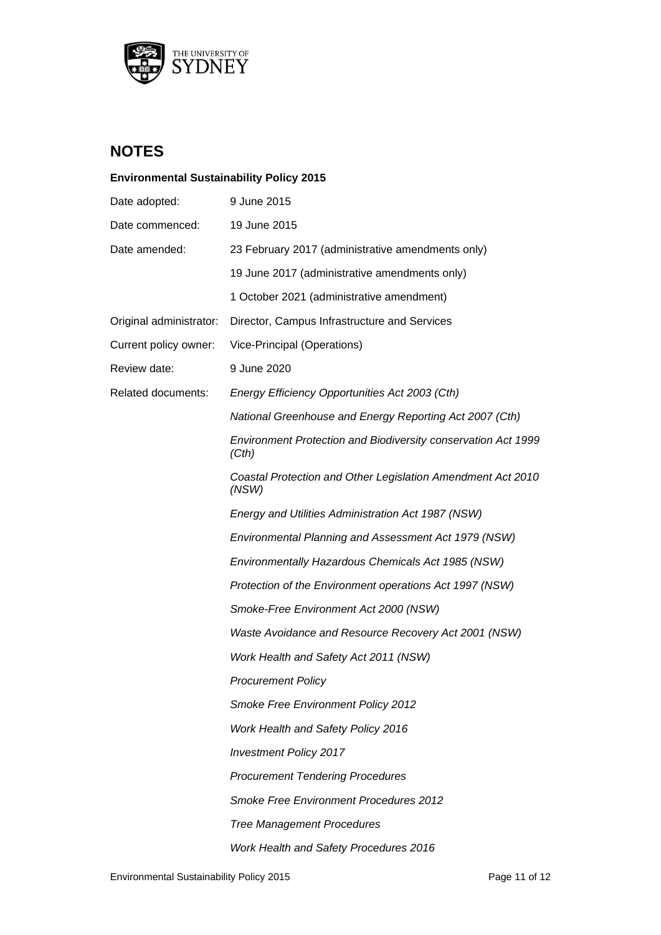

**Environmental Sustainability Policy 2015**

## **NOTES**

# Date adopted: 9 June 2015 Date commenced: 19 June 2015 Date amended: 23 February 2017 (administrative amendments only) 19 June 2017 (administrative amendments only) 1 October 2021 (administrative amendment) Original administrator: Director, Campus Infrastructure and Services Current policy owner: Vice-Principal (Operations) Review date: 9 June 2020 Related documents: *Energy Efficiency Opportunities Act 2003 (Cth) National Greenhouse and Energy Reporting Act 2007 (Cth) Environment Protection and Biodiversity conservation Act 1999 (Cth) Coastal Protection and Other Legislation Amendment Act 2010 (NSW) Energy and Utilities Administration Act 1987 (NSW) Environmental Planning and Assessment Act 1979 (NSW) Environmentally Hazardous Chemicals Act 1985 (NSW) Protection of the Environment operations Act 1997 (NSW) Smoke-Free Environment Act 2000 (NSW) Waste Avoidance and Resource Recovery Act 2001 (NSW) Work Health and Safety Act 2011 (NSW) Procurement Policy Smoke Free Environment Policy 2012 Work Health and Safety Policy 2016 Investment Policy 2017 Procurement Tendering Procedures Smoke Free Environment Procedures 2012 Tree Management Procedures Work Health and Safety Procedures 2016*